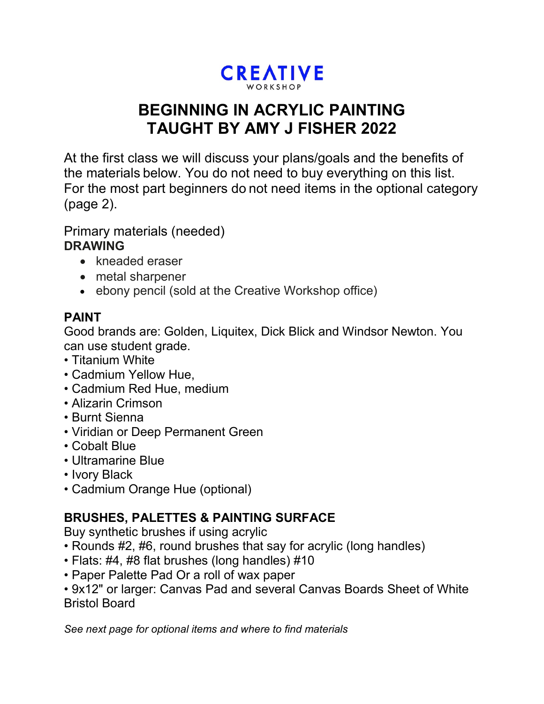# **CREATIVE**

# **BEGINNING IN ACRYLIC PAINTING TAUGHT BY AMY J FISHER 2022**

At the first class we will discuss your plans/goals and the benefits of the materials below. You do not need to buy everything on this list. For the most part beginners do not need items in the optional category (page 2).

Primary materials (needed) **DRAWING** 

- kneaded eraser
- metal sharpener
- ebony pencil (sold at the Creative Workshop office)

# **PAINT**

Good brands are: Golden, Liquitex, Dick Blick and Windsor Newton. You can use student grade.

- Titanium White
- Cadmium Yellow Hue,
- Cadmium Red Hue, medium
- Alizarin Crimson
- Burnt Sienna
- Viridian or Deep Permanent Green
- Cobalt Blue
- Ultramarine Blue
- Ivory Black
- Cadmium Orange Hue (optional)

### **BRUSHES, PALETTES & PAINTING SURFACE**

Buy synthetic brushes if using acrylic

- Rounds #2, #6, round brushes that say for acrylic (long handles)
- Flats: #4, #8 flat brushes (long handles) #10
- Paper Palette Pad Or a roll of wax paper
- 9x12" or larger: Canvas Pad and several Canvas Boards Sheet of White Bristol Board

*See next page for optional items and where to find materials*